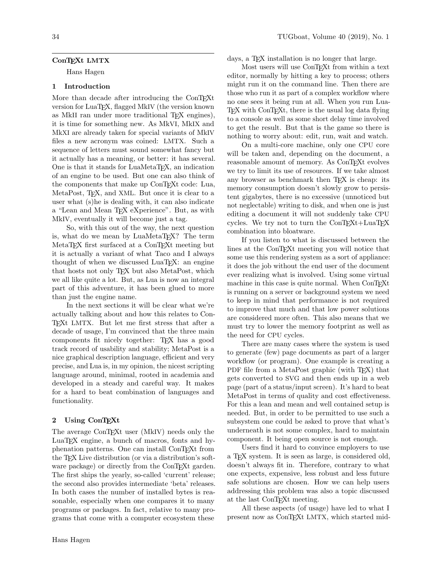# ConT<sub>EXt</sub> LMTX

Hans Hagen

# 1 Introduction

More than decade after introducing the ConTEXt version for LuaTEX, flagged MkIV (the version known as MkII ran under more traditional TEX engines), it is time for something new. As MkVI, MkIX and MkXI are already taken for special variants of MkIV files a new acronym was coined: LMTX. Such a sequence of letters must sound somewhat fancy but it actually has a meaning, or better: it has several. One is that it stands for LuaMetaTEX, an indication of an engine to be used. But one can also think of the components that make up ConT<sub>E</sub>Xt code: Lua, MetaPost, T<sub>E</sub>X, and XML. But once it is clear to a user what (s)he is dealing with, it can also indicate a "Lean and Mean TEX eXperience". But, as with MkIV, eventually it will become just a tag.

So, with this out of the way, the next question is, what do we mean by LuaMetaT<sub>F</sub>X? The term MetaTEX first surfaced at a ConTEXt meeting but it is actually a variant of what Taco and I always thought of when we discussed LuaTEX: an engine that hosts not only TEX but also MetaPost, which we all like quite a lot. But, as Lua is now an integral part of this adventure, it has been glued to more than just the engine name.

In the next sections it will be clear what we're actually talking about and how this relates to Con-TEXt LMTX. But let me first stress that after a decade of usage, I'm convinced that the three main components fit nicely together: TEX has a good track record of usability and stability; MetaPost is a nice graphical description language, efficient and very precise, and Lua is, in my opinion, the nicest scripting language around, minimal, rooted in academia and developed in a steady and careful way. It makes for a hard to beat combination of languages and functionality.

## 2 Using ConT<sub>EXt</sub>

The average ConTEXt user (MkIV) needs only the LuaTEX engine, a bunch of macros, fonts and hyphenation patterns. One can install ConTEXt from the T<sub>E</sub>X Live distribution (or via a distribution's software package) or directly from the ConTEXt garden. The first ships the yearly, so-called 'current' release; the second also provides intermediate 'beta' releases. In both cases the number of installed bytes is reasonable, especially when one compares it to many programs or packages. In fact, relative to many programs that come with a computer ecosystem these

days, a T<sub>E</sub>X installation is no longer that large. Most users will use ConTEXt from within a text

editor, normally by hitting a key to process; others might run it on the command line. Then there are those who run it as part of a complex workflow where no one sees it being run at all. When you run Lua-TEX with ConTEXt, there is the usual log data flying to a console as well as some short delay time involved to get the result. But that is the game so there is nothing to worry about: edit, run, wait and watch.

On a multi-core machine, only one CPU core will be taken and, depending on the document, a reasonable amount of memory. As ConTEXt evolves we try to limit its use of resources. If we take almost any browser as benchmark then T<sub>E</sub>X is cheap: its memory consumption doesn't slowly grow to persistent gigabytes, there is no excessive (unnoticed but not neglectable) writing to disk, and when one is just editing a document it will not suddenly take CPU cycles. We try not to turn the ConTEXt+LuaTEX combination into bloatware.

If you listen to what is discussed between the lines at the ConTEXt meeting you will notice that some use this rendering system as a sort of appliance: it does the job without the end user of the document ever realizing what is involved. Using some virtual machine in this case is quite normal. When ConTFXt is running on a server or background system we need to keep in mind that performance is not required to improve that much and that low power solutions are considered more often. This also means that we must try to lower the memory footprint as well as the need for CPU cycles.

There are many cases where the system is used to generate (few) page documents as part of a larger workflow (or program). One example is creating a PDF file from a MetaPost graphic (with TEX) that gets converted to SVG and then ends up in a web page (part of a status/input screen). It's hard to beat MetaPost in terms of quality and cost effectiveness. For this a lean and mean and well contained setup is needed. But, in order to be permitted to use such a subsystem one could be asked to prove that what's underneath is not some complex, hard to maintain component. It being open source is not enough.

Users find it hard to convince employers to use a TEX system. It is seen as large, is considered old, doesn't always fit in. Therefore, contrary to what one expects, expensive, less robust and less future safe solutions are chosen. How we can help users addressing this problem was also a topic discussed at the last ConTEXt meeting.

All these aspects (of usage) have led to what I present now as ConTEXt LMTX, which started mid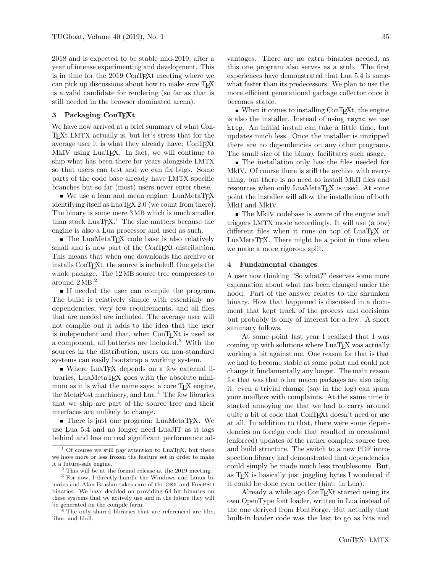2018 and is expected to be stable mid-2019, after a year of intense experimenting and development. This is in time for the 2019 ConTEXt meeting where we can pick up discussions about how to make sure TEX is a valid candidate for rendering (so far as that is still needed in the browser dominated arena).

## 3 Packaging ConT<sub>E</sub>Xt

We have now arrived at a brief summary of what Con-TEXt LMTX actually is, but let's stress that for the average user it is what they already have: ConTEXt MkIV using LuaTEX. In fact, we will continue to ship what has been there for years alongside LMTX so that users can test and we can fix bugs. Some parts of the code base already have LMTX specific branches but so far (most) users never enter these.

■ We use a lean and mean engine: LuaMetaTFX identifying itself as LuaTEX 2.0 (we count from there). The binary is some mere 3 MB which is much smaller than stock  $LuaT_{E}X$ .<sup>[1](#page-1-0)</sup> The size matters because the engine is also a Lua processor and used as such.

■ The LuaMetaTEX code base is also relatively small and is now part of the ConT<sub>EX</sub>t distribution. This means that when one downloads the archive or installs ConTEXt, the source is included! One gets the whole package. The 12 MB source tree compresses to around 2 MB. [2](#page-1-1)

If needed the user can compile the program. The build is relatively simple with essentially no dependencies, very few requirements, and all files that are needed are included. The average user will not compile but it adds to the idea that the user is independent and that, when ConTEXt is used as a component, all batteries are included.[3](#page-1-2) With the sources in the distribution, users on non-standard systems can easily bootstrap a working system.

Where LuaT<sub>EX</sub> depends on a few external libraries, LuaMetaTEX goes with the absolute minimum as it is what the name says: a core T<sub>E</sub>X engine, the MetaPost machinery, and Lua.[4](#page-1-3) The few libraries that we ship are part of the source tree and their interfaces are unlikely to change.

■ There is just one program: LuaMetaTEX. We use Lua 5.4 and no longer need LuaJIT as it lags behind and has no real significant performance advantages. There are no extra binaries needed, as this one program also serves as a stub. The first experiences have demonstrated that Lua 5.4 is somewhat faster than its predecessors. We plan to use the more efficient generational garbage collector once it becomes stable.

 $\blacksquare$  When it comes to installing ConTEXt, the engine is also the installer. Instead of using rsync we use http. An initial install can take a little time, but updates much less. Once the installer is unzipped there are no dependencies on any other programs. The small size of the binary facilitates such usage.

The installation only has the files needed for MkIV. Of course there is still the archive with everything, but there is no need to install MkII files and resources when only LuaMetaT<sub>F</sub>X is used. At some point the installer will allow the installation of both MkII and MkIV.

■ The MkIV codebase is aware of the engine and triggers LMTX mode accordingly. It will use (a few) different files when it runs on top of LuaT<sub>EX</sub> or LuaMetaT<sub>E</sub>X. There might be a point in time when we make a more rigorous split.

#### 4 Fundamental changes

A user now thinking "So what?" deserves some more explanation about what has been changed under the hood. Part of the answer relates to the shrunken binary. How that happened is discussed in a document that kept track of the process and decisions but probably is only of interest for a few. A short summary follows.

At some point last year I realized that I was coming up with solutions where LuaT<sub>EX</sub> was actually working a bit against me. One reason for that is that we had to become stable at some point and could not change it fundamentally any longer. The main reason for that was that other macro packages are also using it: even a trivial change (say in the log) can spam your mailbox with complaints. At the same time it started annoying me that we had to carry around quite a bit of code that ConT<sub>E</sub>Xt doesn't need or use at all. In addition to that, there were some dependencies on foreign code that resulted in occasional (enforced) updates of the rather complex source tree and build structure. The switch to a new PDF introspection library had demonstrated that dependencies could simply be made much less troublesome. But, as TEX is basically just juggling bytes I wondered if it could be done even better (hint: in Lua).

Already a while ago ConT<sub>EX</sub>t started using its own OpenType font loader, written in Lua instead of the one derived from FontForge. But actually that built-in loader code was the last to go as bits and

<span id="page-1-0"></span> $1$  Of course we still pay attention to LuaT<sub>E</sub>X, but there we have more or less frozen the feature set in order to make it a future-safe engine.

<span id="page-1-2"></span><span id="page-1-1"></span> $2$  This will be at the formal release at the 2019 meeting.

<sup>3</sup> For now, I directly handle the Windows and Linux binaries and Alan Braslau takes care of the OSX and FreeBSD binaries. We have decided on providing 64 bit binaries on these systems that we actively use and in the future they will be generated on the compile farm.

<span id="page-1-3"></span><sup>&</sup>lt;sup>4</sup> The only shared libraries that are referenced are libc, libm, and libdl.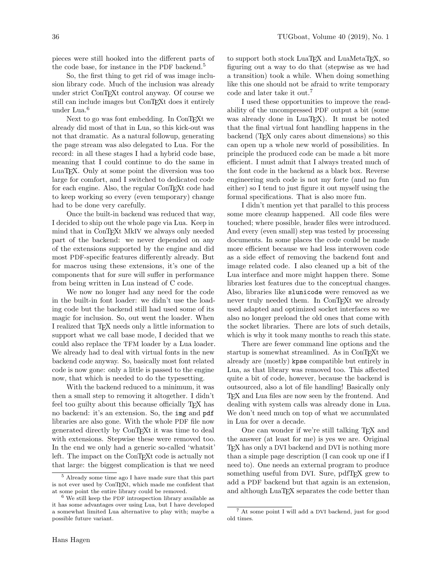pieces were still hooked into the different parts of the code base, for instance in the PDF backend.<sup>[5](#page-2-0)</sup>

So, the first thing to get rid of was image inclusion library code. Much of the inclusion was already under strict ConT<sub>E</sub>X<sub>t</sub> control anyway. Of course we still can include images but ConTEXt does it entirely under Lua.[6](#page-2-1)

Next to go was font embedding. In ConTEXt we already did most of that in Lua, so this kick-out was not that dramatic. As a natural followup, generating the page stream was also delegated to Lua. For the record: in all these stages I had a hybrid code base, meaning that I could continue to do the same in LuaTEX. Only at some point the diversion was too large for comfort, and I switched to dedicated code for each engine. Also, the regular ConT<sub>EXt</sub> code had to keep working so every (even temporary) change had to be done very carefully.

Once the built-in backend was reduced that way, I decided to ship out the whole page via Lua. Keep in mind that in ConTEXt MkIV we always only needed part of the backend: we never depended on any of the extensions supported by the engine and did most PDF-specific features differently already. But for macros using these extensions, it's one of the components that for sure will suffer in performance from being written in Lua instead of C code.

We now no longer had any need for the code in the built-in font loader: we didn't use the loading code but the backend still had used some of its magic for inclusion. So, out went the loader. When I realized that TEX needs only a little information to support what we call base mode, I decided that we could also replace the TFM loader by a Lua loader. We already had to deal with virtual fonts in the new backend code anyway. So, basically most font related code is now gone: only a little is passed to the engine now, that which is needed to do the typesetting.

With the backend reduced to a minimum, it was then a small step to removing it altogether. I didn't feel too guilty about this because officially T<sub>EX</sub> has no backend: it's an extension. So, the img and pdf libraries are also gone. With the whole PDF file now generated directly by ConTEXt it was time to deal with extensions. Stepwise these were removed too. In the end we only had a generic so-called 'whatsit' left. The impact on the ConT<sub>EXt</sub> code is actually not that large: the biggest complication is that we need

to support both stock LuaT<sub>EX</sub> and LuaMetaT<sub>EX</sub>, so figuring out a way to do that (stepwise as we had a transition) took a while. When doing something like this one should not be afraid to write temporary code and later take it out.[7](#page-2-2)

I used these opportunities to improve the readability of the uncompressed PDF output a bit (some was already done in LuaT<sub>E</sub>X). It must be noted that the final virtual font handling happens in the backend (T<sub>EX</sub> only cares about dimensions) so this can open up a whole new world of possibilities. In principle the produced code can be made a bit more efficient. I must admit that I always treated much of the font code in the backend as a black box. Reverse engineering such code is not my forte (and no fun either) so I tend to just figure it out myself using the formal specifications. That is also more fun.

I didn't mention yet that parallel to this process some more cleanup happened. All code files were touched; where possible, header files were introduced. And every (even small) step was tested by processing documents. In some places the code could be made more efficient because we had less interwoven code as a side effect of removing the backend font and image related code. I also cleaned up a bit of the Lua interface and more might happen there. Some libraries lost features due to the conceptual changes. Also, libraries like slunicode were removed as we never truly needed them. In ConTEXt we already used adapted and optimized socket interfaces so we also no longer preload the old ones that come with the socket libraries. There are lots of such details, which is why it took many months to reach this state.

There are fewer command line options and the startup is somewhat streamlined. As in ConTEXt we already are (mostly) kpse compatible but entirely in Lua, as that library was removed too. This affected quite a bit of code, however, because the backend is outsourced, also a lot of file handling! Basically only TEX and Lua files are now seen by the frontend. And dealing with system calls was already done in Lua. We don't need much on top of what we accumulated in Lua for over a decade.

One can wonder if we're still talking TEX and the answer (at least for me) is yes we are. Original TEX has only a DVI backend and DVI is nothing more than a simple page description (I can cook up one if I need to). One needs an external program to produce something useful from DVI. Sure, pdfT<sub>E</sub>X grew to add a PDF backend but that again is an extension, and although LuaT<sub>EX</sub> separates the code better than

<span id="page-2-0"></span><sup>5</sup> Already some time ago I have made sure that this part is not ever used by ConTEXt, which made me confident that at some point the entire library could be removed.

<span id="page-2-1"></span><sup>6</sup> We still keep the PDF introspection library available as it has some advantages over using Lua, but I have developed a somewhat limited Lua alternative to play with; maybe a possible future variant.

<span id="page-2-2"></span><sup>7</sup> At some point I will add a DVI backend, just for good old times.